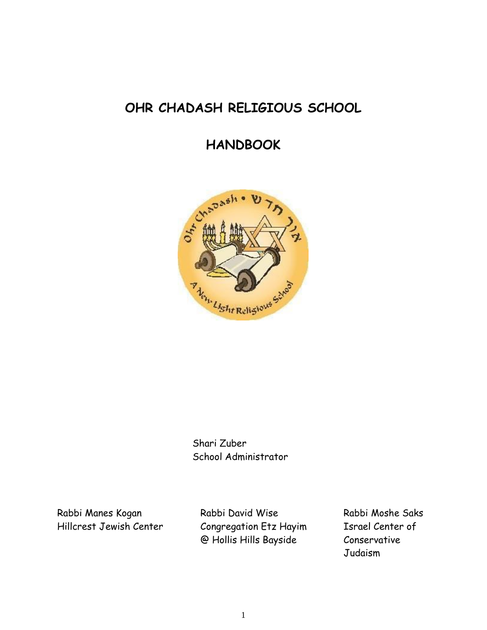# **OHR CHADASH RELIGIOUS SCHOOL**

# **HANDBOOK**



Shari Zuber School Administrator

Rabbi Manes Kogan Rabbi David Wise Rabbi Moshe Saks Hillcrest Jewish Center Congregation Etz Hayim Israel Center of @ Hollis Hills Bayside Conservative

Judaism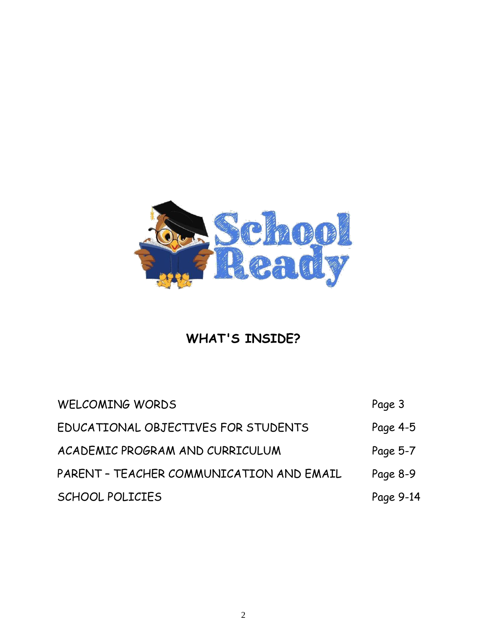

# **WHAT'S INSIDE?**

| <b>WELCOMING WORDS</b>                   | Page 3    |
|------------------------------------------|-----------|
| EDUCATIONAL OBJECTIVES FOR STUDENTS      | Page 4-5  |
| ACADEMIC PROGRAM AND CURRICULUM          | Page 5-7  |
| PARENT - TEACHER COMMUNICATION AND EMAIL | Page 8-9  |
| <b>SCHOOL POLICIES</b>                   | Page 9-14 |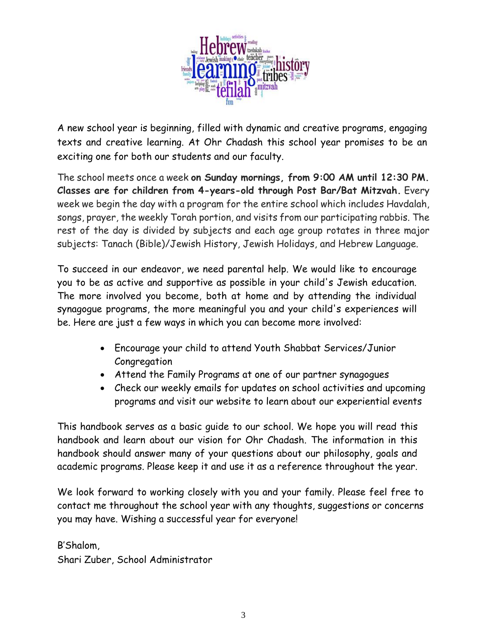

A new school year is beginning, filled with dynamic and creative programs, engaging texts and creative learning. At Ohr Chadash this school year promises to be an exciting one for both our students and our faculty.

The school meets once a week **on Sunday mornings, from 9:00 AM until 12:30 PM. Classes are for children from 4-years-old through Post Bar/Bat Mitzvah.** Every week we begin the day with a program for the entire school which includes Havdalah, songs, prayer, the weekly Torah portion, and visits from our participating rabbis. The rest of the day is divided by subjects and each age group rotates in three major subjects: Tanach (Bible)/Jewish History, Jewish Holidays, and Hebrew Language.

To succeed in our endeavor, we need parental help. We would like to encourage you to be as active and supportive as possible in your child's Jewish education. The more involved you become, both at home and by attending the individual synagogue programs, the more meaningful you and your child's experiences will be. Here are just a few ways in which you can become more involved:

- Encourage your child to attend Youth Shabbat Services/Junior Congregation
- Attend the Family Programs at one of our partner synagogues
- Check our weekly emails for updates on school activities and upcoming programs and visit our website to learn about our experiential events

This handbook serves as a basic guide to our school. We hope you will read this handbook and learn about our vision for Ohr Chadash. The information in this handbook should answer many of your questions about our philosophy, goals and academic programs. Please keep it and use it as a reference throughout the year.

We look forward to working closely with you and your family. Please feel free to contact me throughout the school year with any thoughts, suggestions or concerns you may have. Wishing a successful year for everyone!

B'Shalom, Shari Zuber, School Administrator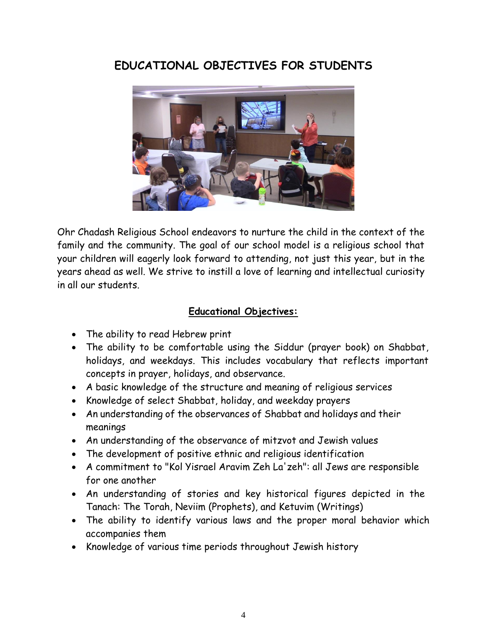# **EDUCATIONAL OBJECTIVES FOR STUDENTS**



Ohr Chadash Religious School endeavors to nurture the child in the context of the family and the community. The goal of our school model is a religious school that your children will eagerly look forward to attending, not just this year, but in the years ahead as well. We strive to instill a love of learning and intellectual curiosity in all our students.

### **Educational Objectives:**

- The ability to read Hebrew print
- The ability to be comfortable using the Siddur (prayer book) on Shabbat, holidays, and weekdays. This includes vocabulary that reflects important concepts in prayer, holidays, and observance.
- A basic knowledge of the structure and meaning of religious services
- Knowledge of select Shabbat, holiday, and weekday prayers
- An understanding of the observances of Shabbat and holidays and their meanings
- An understanding of the observance of mitzvot and Jewish values
- The development of positive ethnic and religious identification
- A commitment to "Kol Yisrael Aravim Zeh La'zeh": all Jews are responsible for one another
- An understanding of stories and key historical figures depicted in the Tanach: The Torah, Neviim (Prophets), and Ketuvim (Writings)
- The ability to identify various laws and the proper moral behavior which accompanies them
- Knowledge of various time periods throughout Jewish history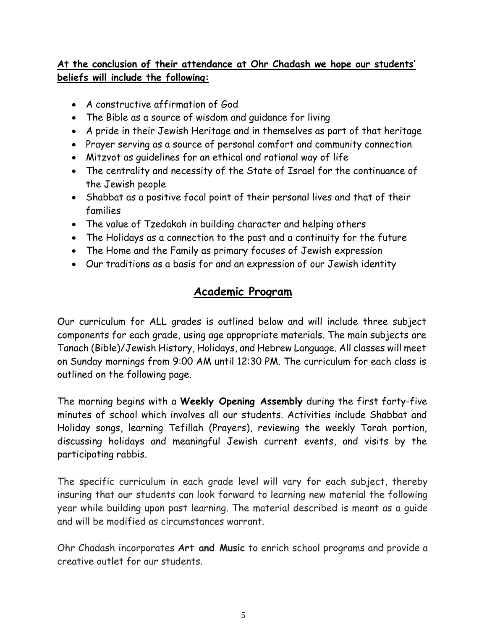## **At the conclusion of their attendance at Ohr Chadash we hope our students' beliefs will include the following:**

- A constructive affirmation of God
- The Bible as a source of wisdom and guidance for living
- A pride in their Jewish Heritage and in themselves as part of that heritage
- Prayer serving as a source of personal comfort and community connection
- Mitzvot as guidelines for an ethical and rational way of life
- The centrality and necessity of the State of Israel for the continuance of the Jewish people
- Shabbat as a positive focal point of their personal lives and that of their families
- The value of Tzedakah in building character and helping others
- The Holidays as a connection to the past and a continuity for the future
- The Home and the Family as primary focuses of Jewish expression
- Our traditions as a basis for and an expression of our Jewish identity

## **Academic Program**

Our curriculum for ALL grades is outlined below and will include three subject components for each grade, using age appropriate materials. The main subjects are Tanach (Bible)/Jewish History, Holidays, and Hebrew Language. All classes will meet on Sunday mornings from 9:00 AM until 12:30 PM. The curriculum for each class is outlined on the following page.

The morning begins with a **Weekly Opening Assembly** during the first forty-five minutes of school which involves all our students. Activities include Shabbat and Holiday songs, learning Tefillah (Prayers), reviewing the weekly Torah portion, discussing holidays and meaningful Jewish current events, and visits by the participating rabbis.

The specific curriculum in each grade level will vary for each subject, thereby insuring that our students can look forward to learning new material the following year while building upon past learning. The material described is meant as a guide and will be modified as circumstances warrant.

Ohr Chadash incorporates **Art and Music** to enrich school programs and provide a creative outlet for our students.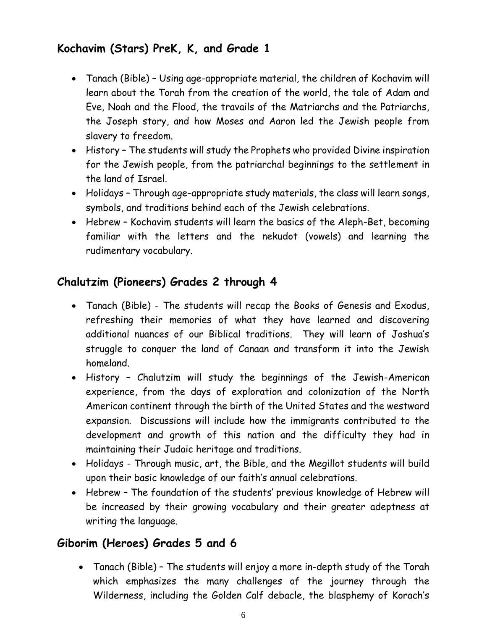# **Kochavim (Stars) PreK, K, and Grade 1**

- Tanach (Bible) Using age-appropriate material, the children of Kochavim will learn about the Torah from the creation of the world, the tale of Adam and Eve, Noah and the Flood, the travails of the Matriarchs and the Patriarchs, the Joseph story, and how Moses and Aaron led the Jewish people from slavery to freedom.
- History The students will study the Prophets who provided Divine inspiration for the Jewish people, from the patriarchal beginnings to the settlement in the land of Israel.
- Holidays Through age-appropriate study materials, the class will learn songs, symbols, and traditions behind each of the Jewish celebrations.
- Hebrew Kochavim students will learn the basics of the Aleph-Bet, becoming familiar with the letters and the nekudot (vowels) and learning the rudimentary vocabulary.

## **Chalutzim (Pioneers) Grades 2 through 4**

- Tanach (Bible) The students will recap the Books of Genesis and Exodus, refreshing their memories of what they have learned and discovering additional nuances of our Biblical traditions. They will learn of Joshua's struggle to conquer the land of Canaan and transform it into the Jewish homeland.
- History Chalutzim will study the beginnings of the Jewish-American experience, from the days of exploration and colonization of the North American continent through the birth of the United States and the westward expansion. Discussions will include how the immigrants contributed to the development and growth of this nation and the difficulty they had in maintaining their Judaic heritage and traditions.
- Holidays Through music, art, the Bible, and the Megillot students will build upon their basic knowledge of our faith's annual celebrations.
- Hebrew The foundation of the students' previous knowledge of Hebrew will be increased by their growing vocabulary and their greater adeptness at writing the language.

## **Giborim (Heroes) Grades 5 and 6**

• Tanach (Bible) – The students will enjoy a more in-depth study of the Torah which emphasizes the many challenges of the journey through the Wilderness, including the Golden Calf debacle, the blasphemy of Korach's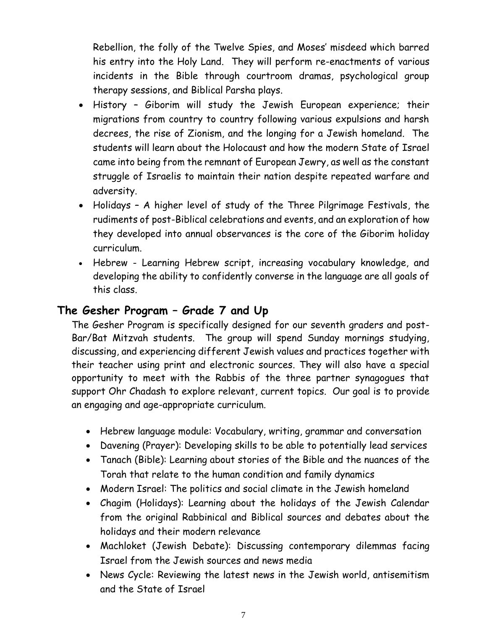Rebellion, the folly of the Twelve Spies, and Moses' misdeed which barred his entry into the Holy Land. They will perform re-enactments of various incidents in the Bible through courtroom dramas, psychological group therapy sessions, and Biblical Parsha plays.

- History Giborim will study the Jewish European experience; their migrations from country to country following various expulsions and harsh decrees, the rise of Zionism, and the longing for a Jewish homeland. The students will learn about the Holocaust and how the modern State of Israel came into being from the remnant of European Jewry, as well as the constant struggle of Israelis to maintain their nation despite repeated warfare and adversity.
- Holidays A higher level of study of the Three Pilgrimage Festivals, the rudiments of post-Biblical celebrations and events, and an exploration of how they developed into annual observances is the core of the Giborim holiday curriculum.
- Hebrew Learning Hebrew script, increasing vocabulary knowledge, and developing the ability to confidently converse in the language are all goals of this class.

## **The Gesher Program – Grade 7 and Up**

The Gesher Program is specifically designed for our seventh graders and post-Bar/Bat Mitzvah students. The group will spend Sunday mornings studying, discussing, and experiencing different Jewish values and practices together with their teacher using print and electronic sources. They will also have a special opportunity to meet with the Rabbis of the three partner synagogues that support Ohr Chadash to explore relevant, current topics. Our goal is to provide an engaging and age-appropriate curriculum.

- Hebrew language module: Vocabulary, writing, grammar and conversation
- Davening (Prayer): Developing skills to be able to potentially lead services
- Tanach (Bible): Learning about stories of the Bible and the nuances of the Torah that relate to the human condition and family dynamics
- Modern Israel: The politics and social climate in the Jewish homeland
- Chagim (Holidays): Learning about the holidays of the Jewish Calendar from the original Rabbinical and Biblical sources and debates about the holidays and their modern relevance
- Machloket (Jewish Debate): Discussing contemporary dilemmas facing Israel from the Jewish sources and news media
- News Cycle: Reviewing the latest news in the Jewish world, antisemitism and the State of Israel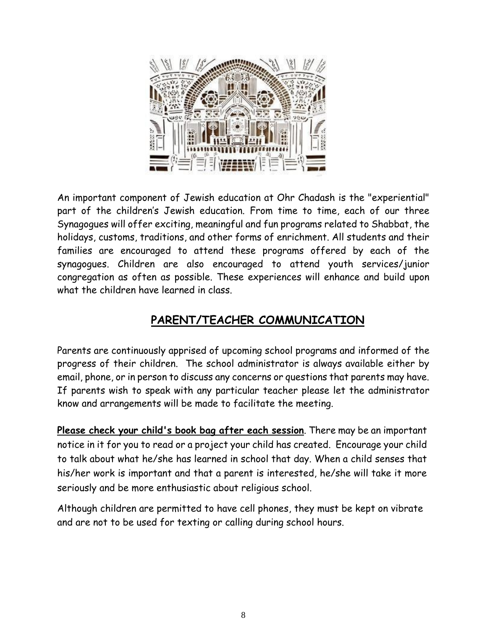

An important component of Jewish education at Ohr Chadash is the "experiential" part of the children's Jewish education. From time to time, each of our three Synagogues will offer exciting, meaningful and fun programs related to Shabbat, the holidays, customs, traditions, and other forms of enrichment. All students and their families are encouraged to attend these programs offered by each of the synagogues. Children are also encouraged to attend youth services/junior congregation as often as possible. These experiences will enhance and build upon what the children have learned in class.

# **PARENT/TEACHER COMMUNICATION**

Parents are continuously apprised of upcoming school programs and informed of the progress of their children. The school administrator is always available either by email, phone, or in person to discuss any concerns or questions that parents may have. If parents wish to speak with any particular teacher please let the administrator know and arrangements will be made to facilitate the meeting.

**Please check your child's book bag after each session**. There may be an important notice in it for you to read or a project your child has created. Encourage your child to talk about what he/she has learned in school that day. When a child senses that his/her work is important and that a parent is interested, he/she will take it more seriously and be more enthusiastic about religious school.

Although children are permitted to have cell phones, they must be kept on vibrate and are not to be used for texting or calling during school hours.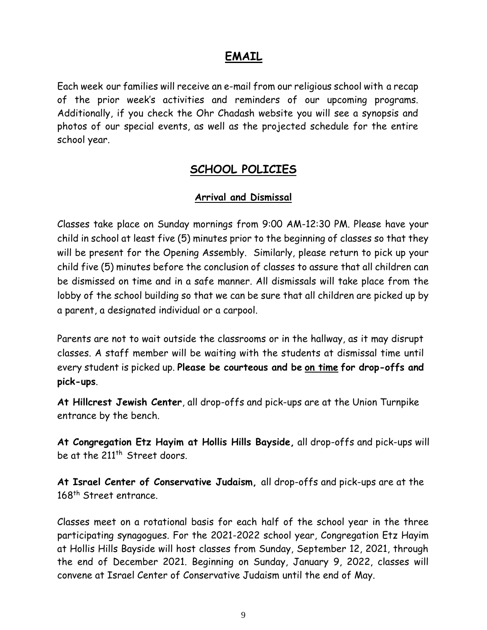## **EMAIL**

Each week our families will receive an e-mail from our religious school with a recap of the prior week's activities and reminders of our upcoming programs. Additionally, if you check the Ohr Chadash website you will see a synopsis and photos of our special events, as well as the projected schedule for the entire school year.

## **SCHOOL POLICIES**

### **Arrival and Dismissal**

Classes take place on Sunday mornings from 9:00 AM-12:30 PM. Please have your child in school at least five (5) minutes prior to the beginning of classes so that they will be present for the Opening Assembly. Similarly, please return to pick up your child five (5) minutes before the conclusion of classes to assure that all children can be dismissed on time and in a safe manner. All dismissals will take place from the lobby of the school building so that we can be sure that all children are picked up by a parent, a designated individual or a carpool.

Parents are not to wait outside the classrooms or in the hallway, as it may disrupt classes. A staff member will be waiting with the students at dismissal time until every student is picked up. **Please be courteous and be on time for drop-offs and pick-ups**.

**At Hillcrest Jewish Center**, all drop-offs and pick-ups are at the Union Turnpike entrance by the bench.

**At Congregation Etz Hayim at Hollis Hills Bayside,** all drop-offs and pick-ups will be at the 211<sup>th</sup> Street doors.

**At Israel Center of Conservative Judaism,** all drop-offs and pick-ups are at the 168<sup>th</sup> Street entrance.

Classes meet on a rotational basis for each half of the school year in the three participating synagogues. For the 2021-2022 school year, Congregation Etz Hayim at Hollis Hills Bayside will host classes from Sunday, September 12, 2021, through the end of December 2021. Beginning on Sunday, January 9, 2022, classes will convene at Israel Center of Conservative Judaism until the end of May.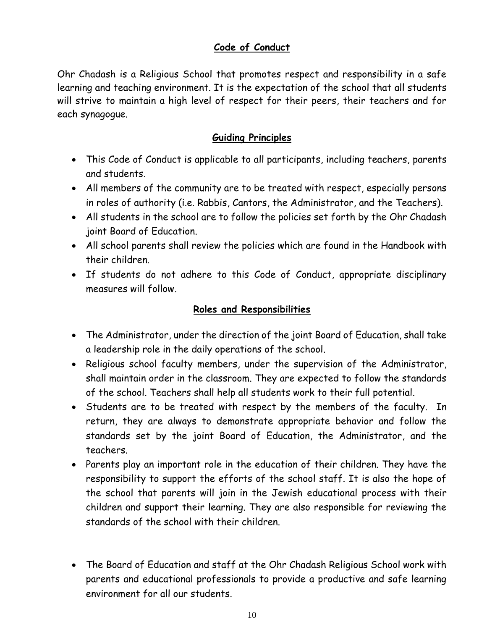## **Code of Conduct**

Ohr Chadash is a Religious School that promotes respect and responsibility in a safe learning and teaching environment. It is the expectation of the school that all students will strive to maintain a high level of respect for their peers, their teachers and for each synagogue.

### **Guiding Principles**

- This Code of Conduct is applicable to all participants, including teachers, parents and students.
- All members of the community are to be treated with respect, especially persons in roles of authority (i.e. Rabbis, Cantors, the Administrator, and the Teachers).
- All students in the school are to follow the policies set forth by the Ohr Chadash joint Board of Education.
- All school parents shall review the policies which are found in the Handbook with their children.
- If students do not adhere to this Code of Conduct, appropriate disciplinary measures will follow.

### **Roles and Responsibilities**

- The Administrator, under the direction of the joint Board of Education, shall take a leadership role in the daily operations of the school.
- Religious school faculty members, under the supervision of the Administrator, shall maintain order in the classroom. They are expected to follow the standards of the school. Teachers shall help all students work to their full potential.
- Students are to be treated with respect by the members of the faculty. In return, they are always to demonstrate appropriate behavior and follow the standards set by the joint Board of Education, the Administrator, and the teachers.
- Parents play an important role in the education of their children. They have the responsibility to support the efforts of the school staff. It is also the hope of the school that parents will join in the Jewish educational process with their children and support their learning. They are also responsible for reviewing the standards of the school with their children.
- The Board of Education and staff at the Ohr Chadash Religious School work with parents and educational professionals to provide a productive and safe learning environment for all our students.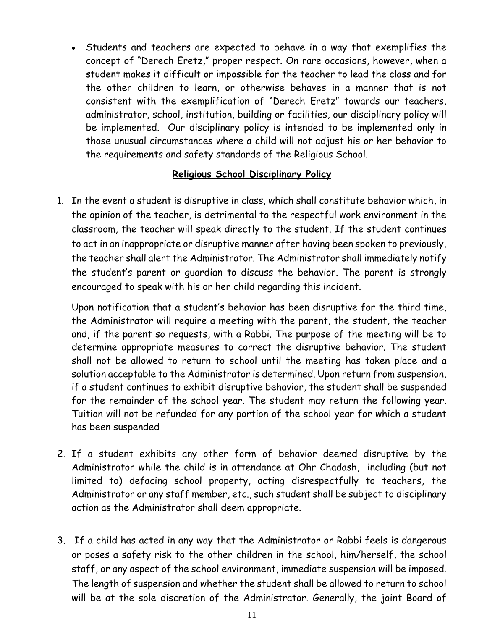• Students and teachers are expected to behave in a way that exemplifies the concept of "Derech Eretz," proper respect. On rare occasions, however, when a student makes it difficult or impossible for the teacher to lead the class and for the other children to learn, or otherwise behaves in a manner that is not consistent with the exemplification of "Derech Eretz" towards our teachers, administrator, school, institution, building or facilities, our disciplinary policy will be implemented. Our disciplinary policy is intended to be implemented only in those unusual circumstances where a child will not adjust his or her behavior to the requirements and safety standards of the Religious School.

### **Religious School Disciplinary Policy**

1. In the event a student is disruptive in class, which shall constitute behavior which, in the opinion of the teacher, is detrimental to the respectful work environment in the classroom, the teacher will speak directly to the student. If the student continues to act in an inappropriate or disruptive manner after having been spoken to previously, the teacher shall alert the Administrator. The Administrator shall immediately notify the student's parent or guardian to discuss the behavior. The parent is strongly encouraged to speak with his or her child regarding this incident.

Upon notification that a student's behavior has been disruptive for the third time, the Administrator will require a meeting with the parent, the student, the teacher and, if the parent so requests, with a Rabbi. The purpose of the meeting will be to determine appropriate measures to correct the disruptive behavior. The student shall not be allowed to return to school until the meeting has taken place and a solution acceptable to the Administrator is determined. Upon return from suspension, if a student continues to exhibit disruptive behavior, the student shall be suspended for the remainder of the school year. The student may return the following year. Tuition will not be refunded for any portion of the school year for which a student has been suspended

- 2. If a student exhibits any other form of behavior deemed disruptive by the Administrator while the child is in attendance at Ohr Chadash, including (but not limited to) defacing school property, acting disrespectfully to teachers, the Administrator or any staff member, etc., such student shall be subject to disciplinary action as the Administrator shall deem appropriate.
- 3. If a child has acted in any way that the Administrator or Rabbi feels is dangerous or poses a safety risk to the other children in the school, him/herself, the school staff, or any aspect of the school environment, immediate suspension will be imposed. The length of suspension and whether the student shall be allowed to return to school will be at the sole discretion of the Administrator. Generally, the joint Board of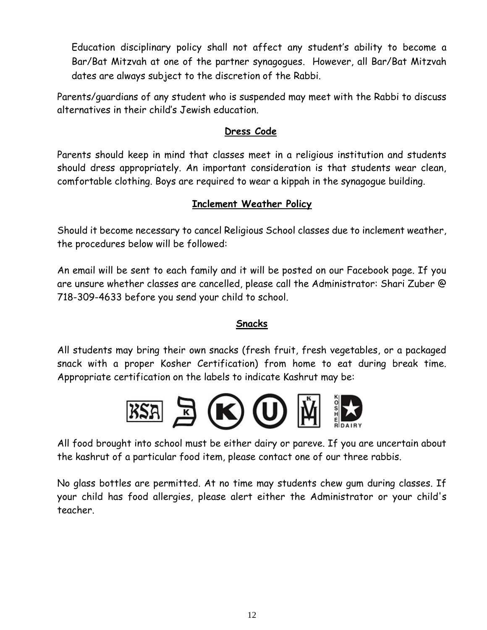Education disciplinary policy shall not affect any student's ability to become a Bar/Bat Mitzvah at one of the partner synagogues. However, all Bar/Bat Mitzvah dates are always subject to the discretion of the Rabbi.

Parents/guardians of any student who is suspended may meet with the Rabbi to discuss alternatives in their child's Jewish education.

### **Dress Code**

Parents should keep in mind that classes meet in a religious institution and students should dress appropriately. An important consideration is that students wear clean, comfortable clothing. Boys are required to wear a kippah in the synagogue building.

### **Inclement Weather Policy**

Should it become necessary to cancel Religious School classes due to inclement weather, the procedures below will be followed:

An email will be sent to each family and it will be posted on our Facebook page. If you are unsure whether classes are cancelled, please call the Administrator: Shari Zuber @ 718-309-4633 before you send your child to school.

### **Snacks**

All students may bring their own snacks (fresh fruit, fresh vegetables, or a packaged snack with a proper Kosher Certification) from home to eat during break time. Appropriate certification on the labels to indicate Kashrut may be:



All food brought into school must be either dairy or pareve. If you are uncertain about the kashrut of a particular food item, please contact one of our three rabbis.

No glass bottles are permitted. At no time may students chew gum during classes. If your child has food allergies, please alert either the Administrator or your child's teacher.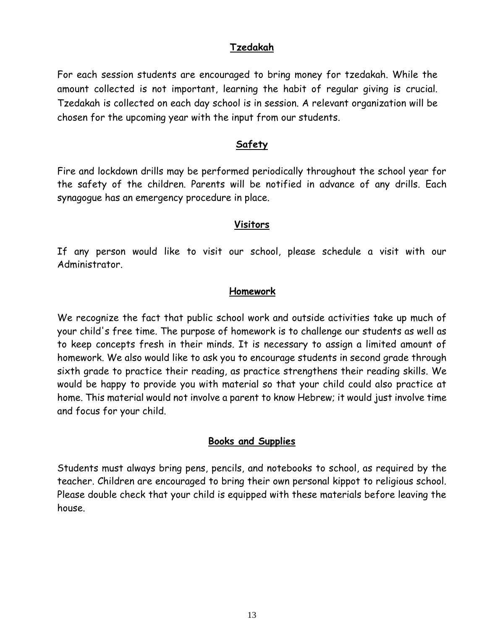### **Tzedakah**

For each session students are encouraged to bring money for tzedakah. While the amount collected is not important, learning the habit of regular giving is crucial. Tzedakah is collected on each day school is in session. A relevant organization will be chosen for the upcoming year with the input from our students.

#### **Safety**

Fire and lockdown drills may be performed periodically throughout the school year for the safety of the children. Parents will be notified in advance of any drills. Each synagogue has an emergency procedure in place.

#### **Visitors**

If any person would like to visit our school, please schedule a visit with our Administrator.

#### **Homework**

We recognize the fact that public school work and outside activities take up much of your child's free time. The purpose of homework is to challenge our students as well as to keep concepts fresh in their minds. It is necessary to assign a limited amount of homework. We also would like to ask you to encourage students in second grade through sixth grade to practice their reading, as practice strengthens their reading skills. We would be happy to provide you with material so that your child could also practice at home. This material would not involve a parent to know Hebrew; it would just involve time and focus for your child.

### **Books and Supplies**

Students must always bring pens, pencils, and notebooks to school, as required by the teacher. Children are encouraged to bring their own personal kippot to religious school. Please double check that your child is equipped with these materials before leaving the house.